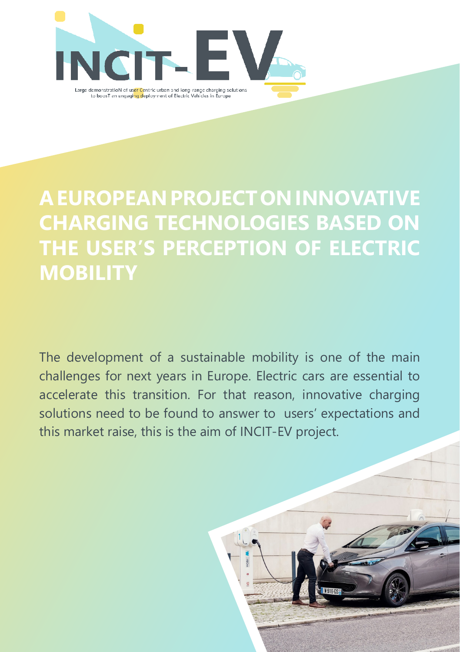

### **A EUROPEAN PROJECT ON INNOVATIVE CHARGING TECHNOLOGIES BASED ON THE USER'S PERCEPTION OF ELECTRIC MOBILITY**

The development of a sustainable mobility is one of the main challenges for next years in Europe. Electric cars are essential to accelerate this transition. For that reason, innovative charging solutions need to be found to answer to users' expectations and this market raise, this is the aim of INCIT-EV project.

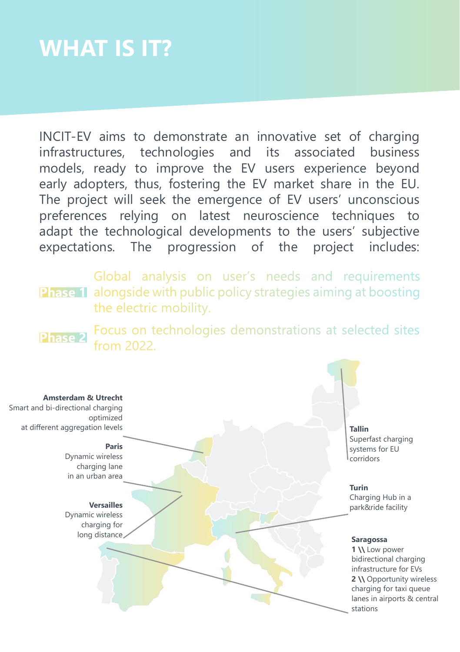## **WHAT IS IT?**

INCIT-EV aims to demonstrate an innovative set of charging infrastructures, technologies and its associated business models, ready to improve the EV users experience beyond early adopters, thus, fostering the EV market share in the EU. The project will seek the emergence of EV users' unconscious preferences relying on latest neuroscience techniques to adapt the technological developments to the users' subjective expectations. The progression of the project includes:

**Phase 1** alongside with public policy strategies aiming at boosting Global analysis on user's needs and requirements the electric mobility.

Focus on technologies demonstrations at selected sites **Phase 2** from 2022.

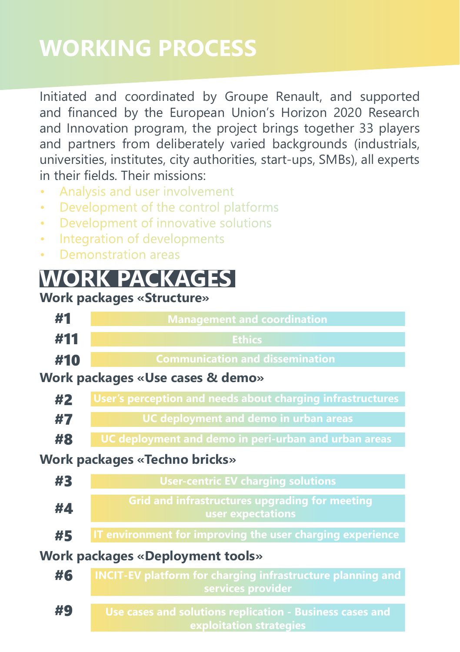## **WORKING PROCESS**

Initiated and coordinated by Groupe Renault, and supported and financed by the European Union's Horizon 2020 Research and Innovation program, the project brings together 33 players and partners from deliberately varied backgrounds (industrials, universities, institutes, city authorities, start-ups, SMBs), all experts in their fields. Their missions:

- Analysis and user involvement
- Development of the control platforms
- Development of innovative solutions
- Integration of developments
- Demonstration areas

### **WORK PACKAGES**

#### **Work packages «Structure»**

| #1                                      | <b>Management and coordination</b>                                                     |
|-----------------------------------------|----------------------------------------------------------------------------------------|
| #11                                     | <b>Ethics</b>                                                                          |
| #10                                     | <b>Communication and dissemination</b>                                                 |
| Work packages «Use cases & demo»        |                                                                                        |
| #2                                      | User's perception and needs about charging infrastructures                             |
| #7                                      | <b>UC deployment and demo in urban areas</b>                                           |
| #8                                      | UC deployment and demo in peri-urban and urban areas                                   |
| Work packages «Techno bricks»           |                                                                                        |
| #3                                      | <b>User-centric EV charging solutions</b>                                              |
| #4                                      | <b>Grid and infrastructures upgrading for meeting</b><br>user expectations             |
| #5                                      | IT environment for improving the user charging experience                              |
| <b>Work packages «Deployment tools»</b> |                                                                                        |
| #6                                      | <b>INCIT-EV platform for charging infrastructure planning and</b><br>services provider |
| #9                                      | Use cases and solutions replication - Business cases and<br>exploitation strategies    |